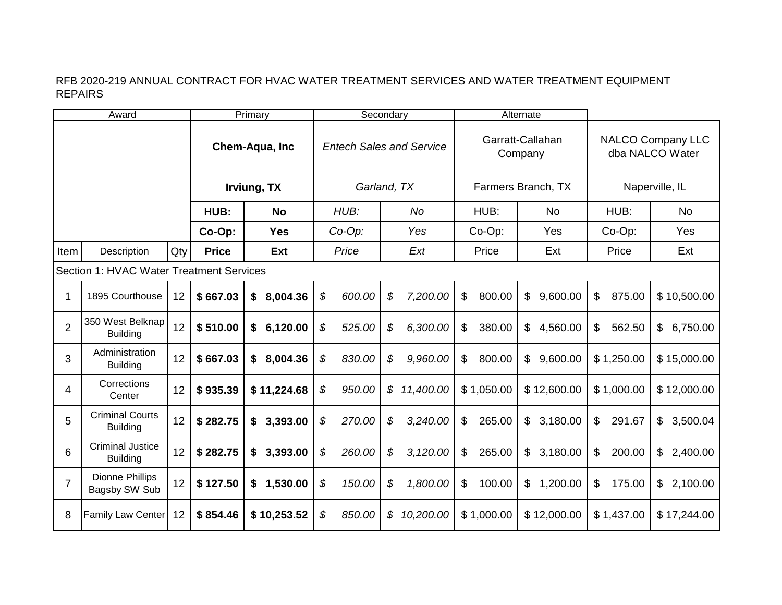|                                          | Award                                      |     | Primary        |             |        | Secondary                       |    |           |                |            | Alternate                   |                                             |             |  |
|------------------------------------------|--------------------------------------------|-----|----------------|-------------|--------|---------------------------------|----|-----------|----------------|------------|-----------------------------|---------------------------------------------|-------------|--|
|                                          |                                            |     | Chem-Aqua, Inc |             |        | <b>Entech Sales and Service</b> |    |           |                |            | Garratt-Callahan<br>Company | <b>NALCO Company LLC</b><br>dba NALCO Water |             |  |
|                                          |                                            |     | Irviung, TX    |             |        | Garland, TX                     |    |           |                |            | Farmers Branch, TX          | Naperville, IL                              |             |  |
|                                          |                                            |     | HUB:           | <b>No</b>   | HUB:   |                                 |    | No        |                | HUB:       | <b>No</b>                   | HUB:                                        | <b>No</b>   |  |
|                                          |                                            |     | Co-Op:         | <b>Yes</b>  | Co-Op: |                                 |    | Yes       | Co-Op:         |            | Yes                         | Co-Op:                                      | Yes         |  |
| Item                                     | Description                                | Qty | <b>Price</b>   | Ext         |        | Price                           |    | Ext       |                | Price      | Ext                         | Price                                       | Ext         |  |
| Section 1: HVAC Water Treatment Services |                                            |     |                |             |        |                                 |    |           |                |            |                             |                                             |             |  |
|                                          | 1895 Courthouse                            | 12  | \$667.03       | \$8,004.36  | \$     | 600.00                          | \$ | 7,200.00  | \$             | 800.00     | $\mathfrak{S}$<br>9,600.00  | \$<br>875.00                                | \$10,500.00 |  |
| $\overline{2}$                           | 350 West Belknap<br><b>Building</b>        | 12  | \$510.00       | \$6,120.00  | \$     | 525.00                          | \$ | 6,300.00  | \$             | 380.00     | 4,560.00<br>\$              | $\mathfrak{L}$<br>562.50                    | \$6,750.00  |  |
| 3                                        | Administration<br><b>Building</b>          | 12  | \$667.03       | \$8,004.36  | \$     | 830.00                          | \$ | 9,960.00  | \$             | 800.00     | 9,600.00<br>$\mathfrak{S}$  | \$1,250.00                                  | \$15,000.00 |  |
| 4                                        | Corrections<br>Center                      | 12  | \$935.39       | \$11,224.68 | \$     | 950.00                          | \$ | 11,400.00 |                | \$1,050.00 | \$12,600.00                 | \$1,000.00                                  | \$12,000.00 |  |
| 5                                        | <b>Criminal Courts</b><br><b>Building</b>  | 12  | \$282.75       | \$3,393.00  | \$     | 270.00                          | \$ | 3,240.00  | \$             | 265.00     | 3,180.00<br>$\mathbb{S}$    | $\mathfrak{S}$<br>291.67                    | \$3,500.04  |  |
| 6                                        | <b>Criminal Justice</b><br><b>Building</b> | 12  | \$282.75       | \$3,393.00  | \$     | 260.00                          | \$ | 3,120.00  | $\mathfrak{S}$ | 265.00     | 3,180.00<br>$\mathbb{S}$    | $\mathfrak{L}$<br>200.00                    | \$2,400.00  |  |
| 7                                        | <b>Dionne Phillips</b><br>Bagsby SW Sub    | 12  | \$127.50       | \$1,530.00  | \$     | 150.00                          | \$ | 1,800.00  | \$             | 100.00     | 1,200.00<br>$\mathfrak{S}$  | \$<br>175.00                                | \$2,100.00  |  |
| 8                                        | Family Law Center                          | 12  | \$854.46       | \$10,253.52 | \$     | 850.00                          | \$ | 10,200.00 |                | \$1,000.00 | \$12,000.00                 | \$1,437.00                                  | \$17,244.00 |  |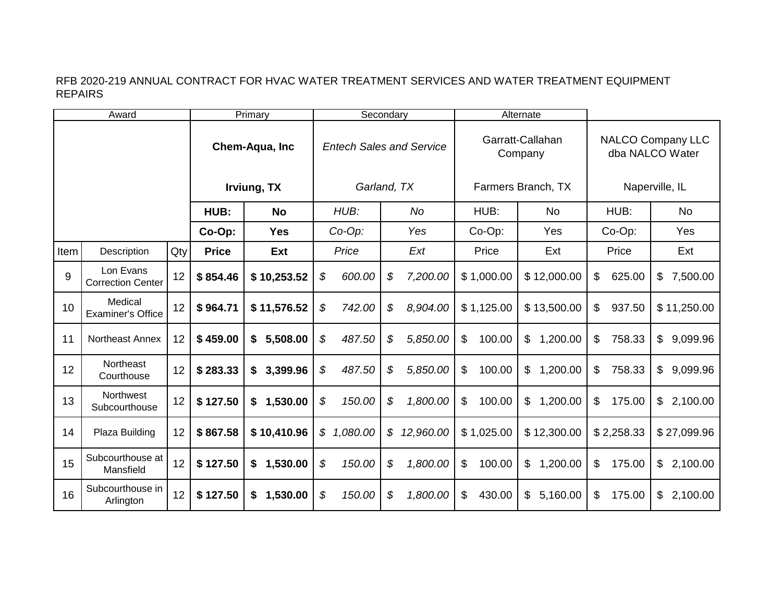|      | Award                                 |      |                | Primary        | Secondary     |             |     |                                 |                          | Alternate                   |                                             |                            |  |
|------|---------------------------------------|------|----------------|----------------|---------------|-------------|-----|---------------------------------|--------------------------|-----------------------------|---------------------------------------------|----------------------------|--|
|      |                                       |      | Chem-Aqua, Inc |                |               |             |     | <b>Entech Sales and Service</b> |                          | Garratt-Callahan<br>Company | <b>NALCO Company LLC</b><br>dba NALCO Water |                            |  |
|      |                                       |      | Irviung, TX    |                |               | Garland, TX |     |                                 |                          | Farmers Branch, TX          | Naperville, IL                              |                            |  |
|      |                                       | HUB: | <b>No</b>      |                | HUB:          |             | No  | HUB:                            | No                       | HUB:                        | <b>No</b>                                   |                            |  |
|      |                                       |      | Co-Op:         | <b>Yes</b>     | $Co-Op$ :     |             | Yes |                                 | Co-Op:                   | Yes                         | Co-Op:                                      | Yes                        |  |
| Item | Description                           | Qty  | <b>Price</b>   | Ext            | Price         |             | Ext |                                 | Price                    | Ext                         | Price                                       | Ext                        |  |
| 9    | Lon Evans<br><b>Correction Center</b> | 12   | \$854.46       | \$10,253.52    | \$            | 600.00      | \$  | 7,200.00                        | \$1,000.00               | \$12,000.00                 | 625.00<br>\$                                | \$7,500.00                 |  |
| 10   | Medical<br><b>Examiner's Office</b>   | 12   | \$964.71       | \$11,576.52    | \$            | 742.00      | \$  | 8,904.00                        | \$1,125.00               | \$13,500.00                 | \$<br>937.50                                | \$11,250.00                |  |
| 11   | <b>Northeast Annex</b>                | 12   | \$459.00       | \$5,508.00     | \$            | 487.50      | \$  | 5,850.00                        | \$<br>100.00             | 1,200.00<br>\$              | 758.33<br>\$                                | 9,099.96<br>$\mathbb{S}^-$ |  |
| 12   | <b>Northeast</b><br>Courthouse        | 12   | \$283.33       | 3,399.96<br>\$ | \$            | 487.50      | \$  | 5,850.00                        | $\mathfrak{S}$<br>100.00 | 1,200.00<br>\$              | 758.33<br>\$                                | 9,099.96<br>\$             |  |
| 13   | Northwest<br>Subcourthouse            | 12   | \$127.50       | \$1,530.00     | \$            | 150.00      | \$  | 1,800.00                        | $\mathfrak{S}$<br>100.00 | 1,200.00<br>\$              | \$<br>175.00                                | \$2,100.00                 |  |
| 14   | Plaza Building                        | 12   | \$867.58       | \$10,410.96    | $\mathcal{S}$ | 1,080.00    | \$  | 12,960.00                       | \$1,025.00               | \$12,300.00                 | \$2,258.33                                  | \$27,099.96                |  |
| 15   | Subcourthouse at<br>Mansfield         | 12   | \$127.50       | 1,530.00<br>\$ | \$            | 150.00      | \$  | 1,800.00                        | \$<br>100.00             | 1,200.00<br>\$              | \$<br>175.00                                | \$2,100.00                 |  |
| 16   | Subcourthouse in<br>Arlington         | 12   | \$127.50       | 1,530.00<br>\$ | \$            | 150.00      | \$  | 1,800.00                        | \$<br>430.00             | 5,160.00<br>\$              | 175.00<br>\$                                | 2,100.00<br>\$             |  |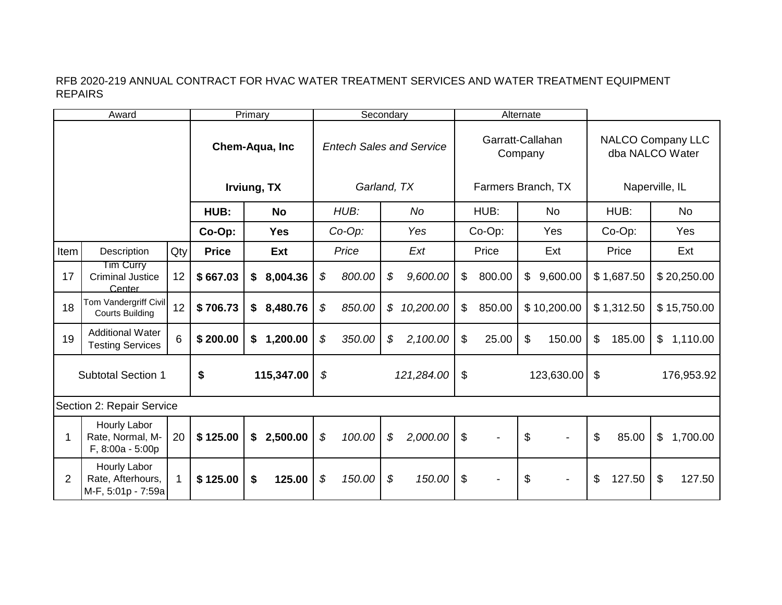|                           | Award                                                   |             |                | Primary        | Secondary |                                 |                            |                    |                           | Alternate                   |                |                                             |                |            |              |             |  |
|---------------------------|---------------------------------------------------------|-------------|----------------|----------------|-----------|---------------------------------|----------------------------|--------------------|---------------------------|-----------------------------|----------------|---------------------------------------------|----------------|------------|--------------|-------------|--|
|                           |                                                         |             | Chem-Aqua, Inc |                |           | <b>Entech Sales and Service</b> |                            |                    |                           | Garratt-Callahan<br>Company |                | <b>NALCO Company LLC</b><br>dba NALCO Water |                |            |              |             |  |
|                           |                                                         |             | Irviung, TX    |                |           | Garland, TX                     |                            | Farmers Branch, TX |                           |                             |                |                                             | Naperville, IL |            |              |             |  |
|                           |                                                         |             | HUB:           | <b>No</b>      | HUB:      |                                 | <b>No</b>                  |                    | HUB:                      |                             | <b>No</b>      |                                             | HUB:           |            | <b>No</b>    |             |  |
|                           |                                                         |             | Co-Op:         | <b>Yes</b>     | Co-Op:    |                                 |                            | Yes                | Co-Op:                    |                             | Yes            |                                             | Co-Op:         |            | Yes          |             |  |
| Item                      | Description                                             | Qty         | <b>Price</b>   | Ext            |           | Price                           |                            | Ext                |                           | Price                       |                | Ext                                         |                | Price      |              | Ext         |  |
| 17                        | Tim Curry<br><b>Criminal Justice</b><br>Center          | 12          | \$667.03       | \$8,004.36     | \$        | 800.00                          | \$                         | 9,600.00           | $\mathfrak{S}$            | 800.00                      | $\mathfrak{S}$ | 9,600.00                                    |                | \$1,687.50 |              | \$20,250.00 |  |
| 18                        | Tom Vandergriff Civil<br><b>Courts Building</b>         | 12          | \$706.73       | \$8,480.76     | \$        | 850.00                          | $\boldsymbol{\mathcal{S}}$ | 10,200.00          | \$                        | 850.00                      |                | \$10,200.00                                 |                | \$1,312.50 |              | \$15,750.00 |  |
| 19                        | <b>Additional Water</b><br><b>Testing Services</b>      | 6           | \$200.00       | 1,200.00<br>\$ | \$        | 350.00                          | \$                         | 2,100.00           | $\boldsymbol{\mathsf{S}}$ | 25.00                       | \$             | 150.00                                      | \$             | 185.00     | \$           | 1,110.00    |  |
| <b>Subtotal Section 1</b> |                                                         |             | \$             | 115,347.00     | \$        |                                 |                            | 121,284.00         | \$                        |                             |                | 123,630.00                                  | \$             |            |              | 176,953.92  |  |
|                           | <b>Section 2: Repair Service</b>                        |             |                |                |           |                                 |                            |                    |                           |                             |                |                                             |                |            |              |             |  |
|                           | Hourly Labor<br>Rate, Normal, M-<br>F, 8:00a - 5:00p    | 20          | \$125.00       | \$2,500.00     | \$        | 100.00                          | \$                         | 2,000.00           | $\boldsymbol{\mathsf{S}}$ |                             | \$             |                                             | $\mathfrak{L}$ | 85.00      | $\mathbb{S}$ | 1,700.00    |  |
| $\overline{2}$            | Hourly Labor<br>Rate, Afterhours,<br>M-F, 5:01p - 7:59a | $\mathbf 1$ | \$125.00       | 125.00<br>\$   | \$        | 150.00                          | \$                         | 150.00             | \$                        |                             | \$             |                                             | \$             | 127.50     | \$           | 127.50      |  |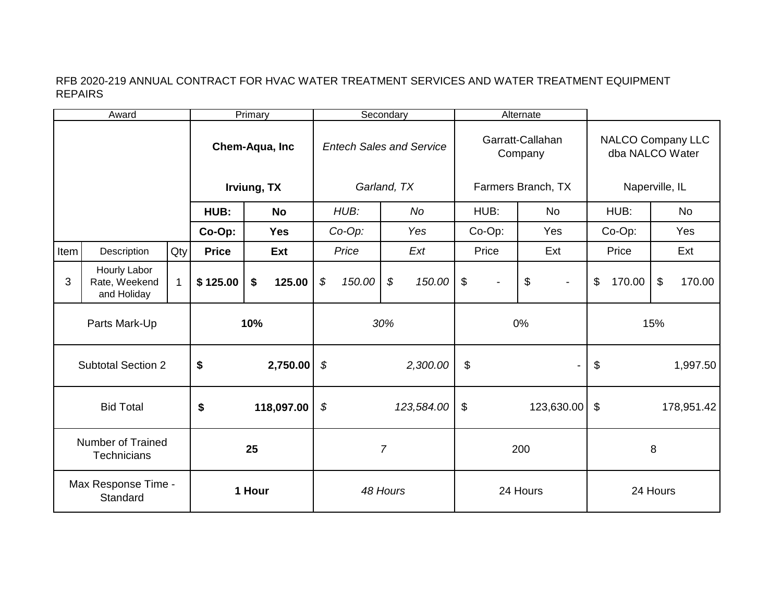|                                 | Award                                          |                  | Primary        |           |                  |                                 | Secondary   |                            |          |                             | Alternate          |                                          |                          |                                             |        |                         |        |
|---------------------------------|------------------------------------------------|------------------|----------------|-----------|------------------|---------------------------------|-------------|----------------------------|----------|-----------------------------|--------------------|------------------------------------------|--------------------------|---------------------------------------------|--------|-------------------------|--------|
|                                 |                                                |                  | Chem-Aqua, Inc |           |                  | <b>Entech Sales and Service</b> |             |                            |          | Garratt-Callahan<br>Company |                    |                                          |                          | <b>NALCO Company LLC</b><br>dba NALCO Water |        |                         |        |
|                                 |                                                |                  | Irviung, TX    |           |                  |                                 | Garland, TX |                            |          |                             | Farmers Branch, TX |                                          | Naperville, IL           |                                             |        |                         |        |
|                                 |                                                |                  | HUB:           | <b>No</b> |                  | HUB:                            |             | <b>No</b>                  |          | HUB:                        |                    | <b>No</b>                                |                          | HUB:                                        |        | <b>No</b>               |        |
|                                 |                                                |                  | Co-Op:         |           | <b>Yes</b>       | $Co-Op$ :                       |             |                            | Yes      | Co-Op:                      |                    | Yes                                      |                          | Co-Op:                                      |        | Yes                     |        |
| Item                            | Description                                    | Qty              | <b>Price</b>   |           | Ext              |                                 | Price       |                            | Ext      |                             | Price              | Ext                                      |                          | Price                                       |        | Ext                     |        |
| 3                               | Hourly Labor<br>Rate, Weekend<br>and Holiday   | $\mathbf{1}$     | \$125.00       | \$        | 125.00           | \$                              | 150.00      | $\boldsymbol{\mathcal{S}}$ | 150.00   | $\$\$                       |                    | $\boldsymbol{\mathsf{S}}$                | $\overline{\phantom{a}}$ | \$                                          | 170.00 | $\sqrt[6]{\frac{1}{2}}$ | 170.00 |
| Parts Mark-Up                   |                                                |                  | 10%            |           |                  |                                 | 30%         |                            |          |                             | 0%                 |                                          |                          |                                             | 15%    |                         |        |
| <b>Subtotal Section 2</b>       |                                                |                  | \$<br>2,750.00 |           |                  | \$<br>2,300.00                  |             |                            | \$       |                             |                    |                                          | \$<br>1,997.50           |                                             |        |                         |        |
|                                 | <b>Bid Total</b>                               | \$<br>118,097.00 |                |           | \$<br>123,584.00 |                                 |             | \$<br>123,630.00           |          |                             |                    | $\boldsymbol{\mathsf{\$}}$<br>178,951.42 |                          |                                             |        |                         |        |
|                                 | <b>Number of Trained</b><br><b>Technicians</b> |                  | 25             |           |                  | $\overline{7}$                  |             |                            | 200      |                             |                    |                                          | 8                        |                                             |        |                         |        |
| Max Response Time -<br>Standard |                                                |                  | 1 Hour         |           |                  | 48 Hours                        |             |                            | 24 Hours |                             |                    |                                          | 24 Hours                 |                                             |        |                         |        |